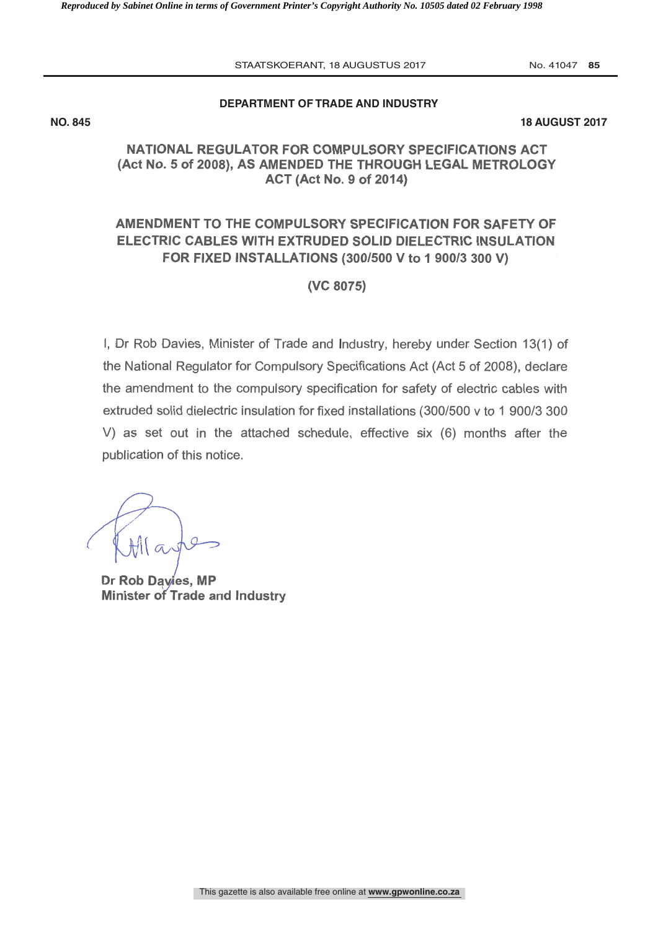STAATSKOERANT, 18 AUGUSTUS 2017 No. 41047 85

# **DEPARTMENT OF TRADE AND INDUSTRY**

**NO. 845 18 AUGUST 2017** 

## NATIONAL REGULATOR FOR COMPULSORY SPECIFICATIONS ACT (Act No. 5 of 2008), AS AMENDED THE THROUGH LEGAL METROLOGY ACT (Act No. 9 of 2014)

## AMENDMENT TO THE COMPULSORY SPECIFICATION FOR SAFETY OF ELECTRIC CABLES WITH EXTRUDED SOLID DIELECTRIC INSULATION FOR FIXED INSTALLATIONS (300/500 V to 1 900/3 300 V)

#### (VC 8075)

1, Dr Rob Davies, Minister of Trade and Industry, hereby under Section 13(1) of the National Regulator for Compulsory Specifications Act (Act 5 of 2008), declare the amendment to the compulsory specification for safety of electric cables with extruded solid dielectric insulation for fixed installations (300/500 v to 1 900/3 300 V) as set out in the attached schedule, effective six (6) months after the publication of this notice.

Dr Rob Davies, MP Minister of Trade and Industry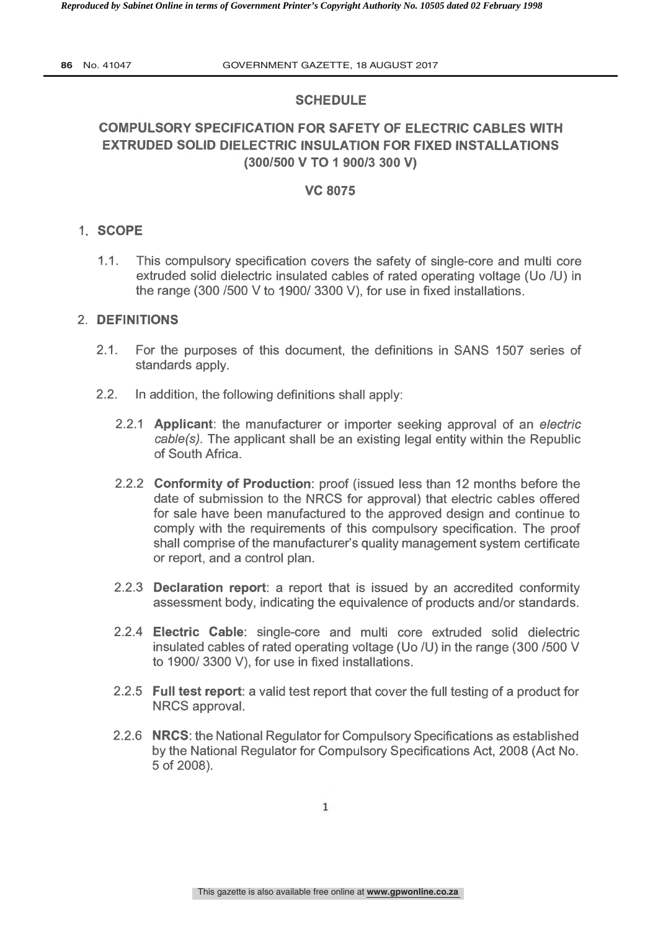## **SCHEDULE**

# COMPULSORY SPECIFICATION FOR SAFETY OF ELECTRIC CABLES WITH EXTRUDED SOLID DIELECTRIC INSULATION FOR FIXED INSTALLATIONS (300/500 V TO 1 900/3 300 V)

### VC 8075

#### <sup>1</sup> SCOPE

1.1. This compulsory specification covers the safety of single -core and multi core extruded solid dielectric insulated cables of rated operating voltage (Uo /U) in the range (300 /500 V to 1900/ 3300 V), for use in fixed installations.

#### 2. DEFINITIONS

- 2.1. For the purposes of this document, the definitions in SANS 1507 series of standards apply.
- 2.2. In addition, the following definitions shall apply:
	- 2.2.1 **Applicant**: the manufacturer or importer seeking approval of an electric cable(s). The applicant shall be an existing legal entity within the Republic of South Africa.
	- 2.2.2 Conformity of Production: proof (issued less than 12 months before the date of submission to the NRCS for approval) that electric cables offered for sale have been manufactured to the approved design and continue to comply with the requirements of this compulsory specification. The proof shall comprise of the manufacturer's quality management system certificate or report, and a control plan.
	- 2.2.3 **Declaration report**: a report that is issued by an accredited conformity assessment body, indicating the equivalence of products and /or standards.
	- 2.2.4 Electric Cable: single -core and multi core extruded solid dielectric insulated cables of rated operating voltage (Uo /U) in the range (300 /500 V to 1900/ 3300 V), for use in fixed installations.
	- 2.2.5 Full test report: a valid test report that cover the full testing of a product for NRCS approval.
	- 2.2.6 NRCS: the National Regulator for Compulsory Specifications as established by the National Regulator for Compulsory Specifications Act, 2008 (Act No. 5 of 2008).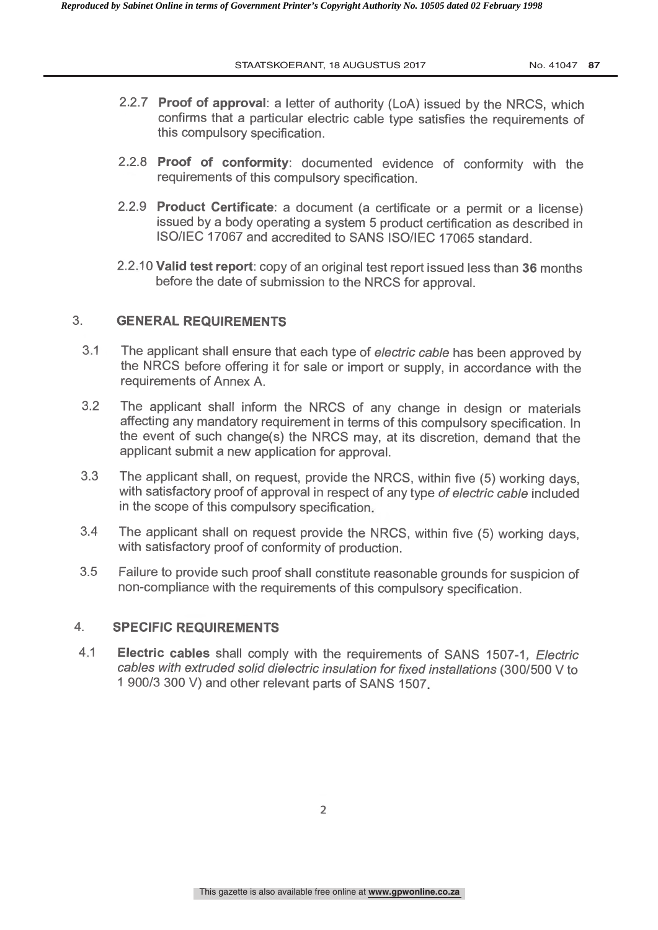- 2.2.7 Proof of approval: a letter of authority (LoA) issued by the NRCS, which confirms that a particular electric cable type satisfies the requirements of this compulsory specification.
- 2.2.8 Proof of conformity: documented evidence of conformity with the requirements of this compulsory specification.
- 2.2.9 Product Certificate: a document (a certificate or a permit or a license) issued by a body operating a system 5 product certification as described in ISO /IEC 17067 and accredited to SANS ISO /IEC 17065 standard.
- 2.2 10 Valid test report: copy of an original test report issued less than 36 months before the date of submission to the NRCS for approval.

### 3. GENERAL REQUIREMENTS

- 3 1 The applicant shall ensure that each type of electric cable has been approved by the NRCS before offering it for sale or import or supply, in accordance with the requirements of Annex A.
- 3.2 The applicant shall inform the NRCS of any change in design or materials affecting any mandatory requirement in terms of this compulsory specification. In the event of such change(s) the NRCS may, at its discretion, demand that the applicant submit a new application for approval.
- 3.3 The applicant shall, on request, provide the NRCS, within five (5) working days, with satisfactory proof of approval in respect of any type of electric cable included in the scope of this compulsory specification
- 3.4 The applicant shall on request provide the NRCS, within five (5) working days, with satisfactory proof of conformity of production.
- 3.5 Failure to provide such proof shall constitute reasonable grounds for suspicion of non -compliance with the requirements of this compulsory specification.

#### 4. SPECIFIC REQUIREMENTS

4.1 Electric cables shall comply with the requirements of SANS 1507-1, Electric cables with extruded solid dielectric insulation for fixed installations (300/500 V to 1 900/3 300 V) and other relevant parts of SANS 1507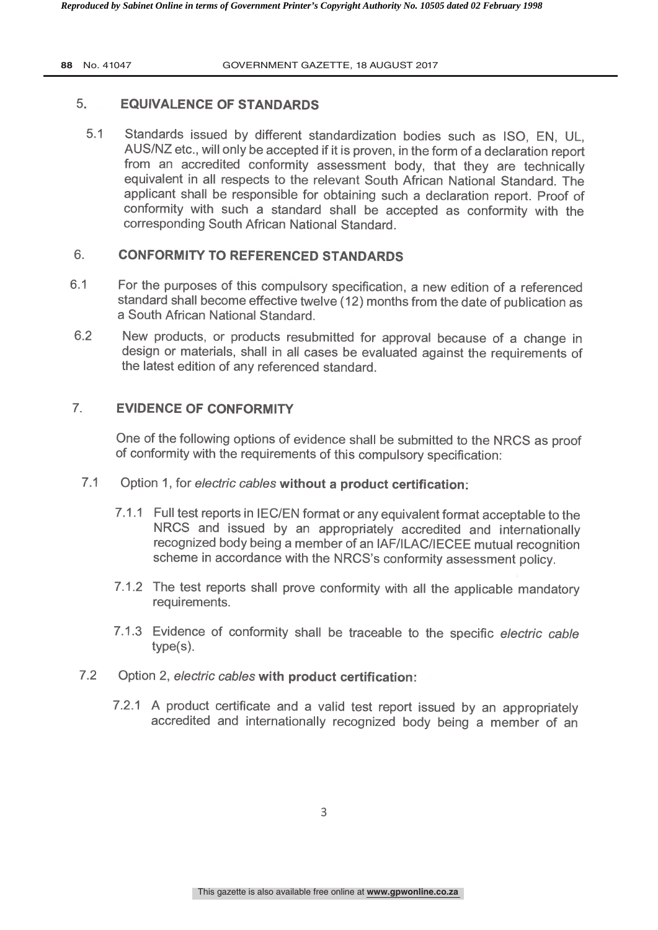## 5. **EQUIVALENCE OF STANDARDS**

5.1 Standards issued by different standardization bodies such as ISO, EN, UL, AUS /NZ etc., will only be accepted if it is proven, in the form of a declaration report from an accredited conformity assessment body, that they are technically equivalent in all respects to the relevant South African National Standard. The applicant shall be responsible for obtaining such a declaration report. Proof of conformity with such a standard shall be accepted as conformity with the corresponding South African National Standard.

## 6. CONFORMITY TO REFERENCED STANDARDS

- 6.1 For the purposes of this compulsory specification, a new edition of a referenced standard shall become effective twelve (12) months from the date of publication as a South African National Standard.
- 62 New products, or products resubmitted for approval because of a change in design or materials, shall in all cases be evaluated against the requirements of the latest edition of any referenced standard.

## 7. EVIDENCE OF CONFORMITY

One of the following options of evidence shall be submitted to the NRCS as proof of conformity with the requirements of this compulsory specification:

- 7.1 Option 1, for electric cables without a product certification:
	- 7.1.1 Full test reports in IEC/EN format or any equivalent format acceptable to the NRCS and issued by an appropriately accredited and internationally recognized body being a member of an IAF /ILAC /IECEE mutual recognition scheme in accordance with the NRCS's conformity assessment policy.
	- 7.1.2 The test reports shall prove conformity with all the applicable mandatory requirements.
	- 7.1.3 Evidence of conformity shall be traceable to the specific electric cable type(s).
- 7.2 Option 2, electric cables with product certification:
	- 7.2.1 A product certificate and a valid test report issued by an appropriately accredited and internationally recognized body being a member of an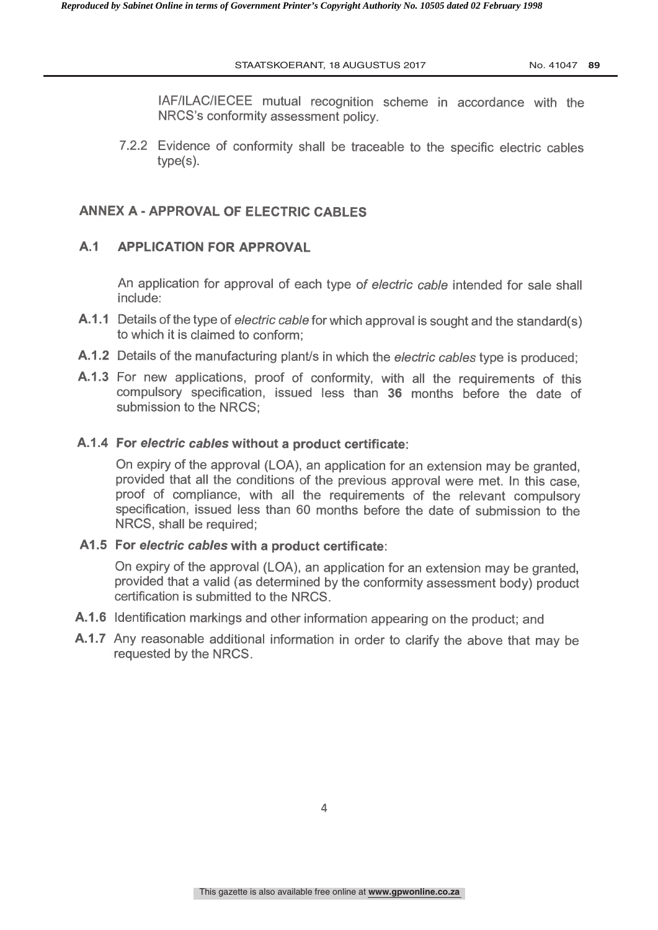IAF /ILAC /IECEE mutual recognition scheme in accordance with the NRCS's conformity assessment policy.

7.2.2 Evidence of conformity shall be traceable to the specific electric cables type(s).

#### **ANNEX A - APPROVAL OF ELECTRIC CABLES**

#### A.1 APPLICATION FOR APPROVAL

An application for approval of each type of electric cable intended for sale shall include:

- A.1.1 Details of the type of *electric cable* for which approval is sought and the standard(s) to which it is claimed to conform;
- A.1.2 Details of the manufacturing plant/s in which the electric cables type is produced;
- A.1.3 For new applications, proof of conformity, with all the requirements of this compulsory specification, issued less than 36 months before the date of submission to the NRCS;

#### A.1.4 For electric cables without a product certificate

On expiry of the approval (LOA), an application for an extension may be granted, provided that all the conditions of the previous approval were met. In this case, proof of compliance, with all the requirements of the relevant compulsory specification, issued less than 60 months before the date of submission to the NRCS, shall be required;

#### A1.5 For electric cables with a product certificate:

On expiry of the approval (LOA), an application for an extension may be granted provided that a valid (as determined by the conformity assessment body) product certification is submitted to the NRCS.

- A.1.6 Identification markings and other information appearing on the product; and
- A.1.7 Any reasonable additional information in order to clarify the above that may be requested by the NRCS.